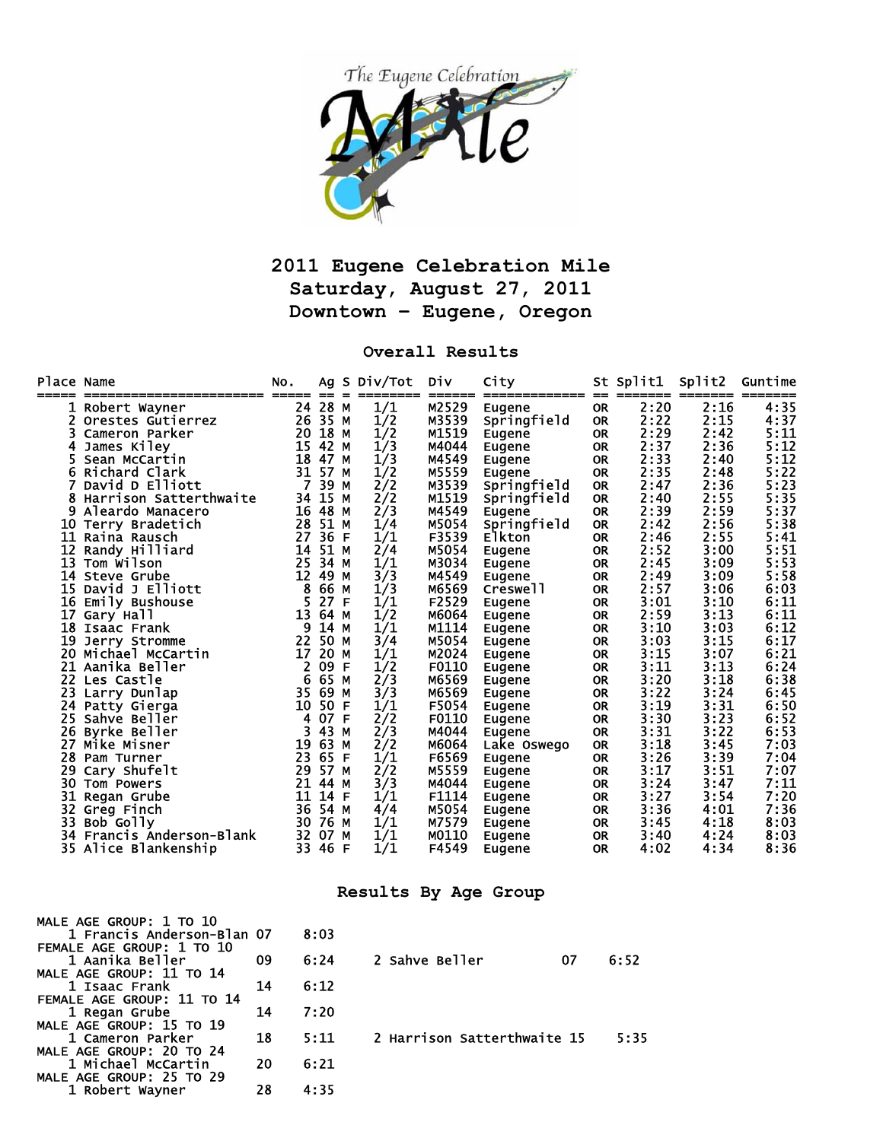

## **2011 Eugene Celebration Mile Saturday, August 27, 2011 Downtown – Eugene, Oregon**

## **Overall Results**

| Place Name |                                    | NO. | Αg   |    | S Div/Tot       | Div   | City                         |                        | St Split1 | Split2          | Guntime |
|------------|------------------------------------|-----|------|----|-----------------|-------|------------------------------|------------------------|-----------|-----------------|---------|
|            | :====================              | 24  | 28   | М  | ========<br>1/1 | M2529 | =============                | ==                     | 2:20      | =======<br>2:16 | 4:35    |
|            | Robert Wayner<br>Orestes Gutierrez | 26  | 35   | М  |                 | M3539 | Eugene<br>Springfield        | <b>OR</b><br><b>OR</b> | 2:22      | 2:15            | 4:37    |
|            | Cameron Parker                     | 20  | 18   | М  | 1/2             | M1519 |                              | <b>OR</b>              | 2:29      | 2:42            | 5:11    |
|            | James Kiley                        | 15  | 42   | M  | 1/2<br>1/3      | M4044 | Eugene<br>Eugene             | <b>OR</b>              | 2:37      | 2:36            | 5:12    |
|            | Sean McCartin                      | 18  | 47   | М  | 1/3             | M4549 | Eugene                       | <b>OR</b>              | 2:33      | 2:40            | 5:12    |
|            | Richard Clark                      | 31  | 57   | М  | 1/2             | M5559 |                              | <b>OR</b>              | 2:35      | 2:48            | 5:22    |
|            | David D Elliott                    | 7   | 39   | М  | 2/2             | M3539 | Eugene<br>Springfield        | <b>OR</b>              | 2:47      | 2:36            | 5:23    |
| 8          | Harrison Satterthwaite             | 34  | 15   | М  | 2/2             | M1519 |                              | <b>OR</b>              | 2:40      | 2:55            | 5:35    |
|            | Aleardo Manacero                   | 16  | 48   | М  | 2/3             | M4549 | Springfield                  | <b>OR</b>              | 2:39      | 2:59            | 5:37    |
| 10         |                                    | 28  | 51   | М  |                 | M5054 | Eugene                       | <b>OR</b>              | 2:42      | 2:56            | 5:38    |
| 11         | Terry Bradetich<br>Raina Rausch    | 27  | 36   | F  | 1/4<br>1/1      | F3539 | Springfield<br><b>Elkton</b> | <b>OR</b>              | 2:46      | 2:55            | 5:41    |
| 12         | Randy Hilliard                     | 14  | 51   | М  | 2/4             | M5054 |                              | <b>OR</b>              | 2:52      | 3:00            | 5:51    |
| 13         | Tom Wilson                         | 25  | 34   | М  | 1/1             | M3034 | Eugene                       | <b>OR</b>              | 2:45      | 3:09            | 5:53    |
| 14         | Steve Grube                        | 12  | 49   | М  | 3/3             | M4549 | Eugene<br>Eugene             | <b>OR</b>              | 2:49      | 3:09            | 5:58    |
| 15         | David J Elliott                    | 8   | 66   | М  | 1/3             | M6569 | Creswell                     | <b>OR</b>              | 2:57      | 3:06            | 6:03    |
| 16         | Emily Bushouse                     | 5   | 27   | F  | 1/1             | F2529 | Eugene                       | <b>OR</b>              | 3:01      | 3:10            | 6:11    |
| 17         | Gary Hall                          | 13  | 64   | М  | 1/2             | M6064 | Eugene                       | <b>OR</b>              | 2:59      | 3:13            | 6:11    |
| 18         | Isaac Frank                        | 9   | 14   | M  | 1/1             | M1114 | Eugene                       | <b>OR</b>              | 3:10      | 3:03            | 6:12    |
| 19         | Jerry Stromme                      | 22  | 50   | М  | 3/4             | M5054 | Eugene                       | <b>OR</b>              | 3:03      | 3:15            | 6:17    |
| 20         | Michael McCartin                   | 17  | 20   | M  | 1/1             | M2024 | Eugene                       | <b>OR</b>              | 3:15      | 3:07            | 6:21    |
| 21         | Aanika Beller                      | 2   | 09   | F  | 1/2             | F0110 | Eugene                       | <b>OR</b>              | 3:11      | 3:13            | 6:24    |
| 22         | Les Castle                         | 6   | 65   | М  | 2/3             | M6569 | Eugene                       | <b>OR</b>              | 3:20      | 3:18            | 6:38    |
| 23         | Larry Dunlap                       | 35  | 69   | М  | 3/3             | M6569 | Eugene                       | <b>OR</b>              | 3:22      | 3:24            | 6:45    |
| 24         | Patty Gierga                       | 10  | 50   | F  | 1/1             | F5054 | Eugene                       | <b>OR</b>              | 3:19      | 3:31            | 6:50    |
| 25         | Sahve Beller                       | 4   | 07   | F  | 2/2             | F0110 | Eugene                       | <b>OR</b>              | 3:30      | 3:23            | 6:52    |
| 26         | Byrke Beller                       | 3   | 43   | М  | 2/3             | M4044 | Eugene                       | <b>OR</b>              | 3:31      | 3:22            | 6:53    |
| 27         | Mike Misner                        | 19  | 63   | М  | 2/2             | м6064 | Lake Oswego                  | <b>OR</b>              | 3:18      | 3:45            | 7:03    |
| 28         | Pam Turner                         | 23  | 65   | F  | 1/1             | F6569 | Eugene                       | <b>OR</b>              | 3:26      | 3:39            | 7:04    |
| 29         | Cary Shufelt                       | 29  | 57   | М  | 2/2             | M5559 | Eugene                       | <b>OR</b>              | 3:17      | 3:51            | 7:07    |
| 30         | Tom Powers                         | 21  | 44   | м  | 3/3             | M4044 | Eugene                       | <b>OR</b>              | 3:24      | 3:47            | 7:11    |
| 31         | Regan Grube                        | 11  | 14   | -F | 1/1             | F1114 | Eugene                       | <b>OR</b>              | 3:27      | 3:54            | 7:20    |
| 32         | Greg Finch                         | 36  | 54 M |    | 4/4             | M5054 | Eugene                       | <b>OR</b>              | 3:36      | 4:01            | 7:36    |
| 33         | Bob Golly                          | 30  | 76   | М  | 1/1             | M7579 | Eugene                       | <b>OR</b>              | 3:45      | 4:18            | 8:03    |
| 34         | Francis Anderson-Blank             | 32  | 07   | М  | 1/1             | M0110 | Eugene                       | <b>OR</b>              | 3:40      | 4:24            | 8:03    |
|            | 35 Alice Blankenship               | 33  | 46   | F  | 1/1             | F4549 | Eugene                       | <b>OR</b>              | 4:02      | 4:34            | 8:36    |
|            |                                    |     |      |    |                 |       |                              |                        |           |                 |         |

## **Results By Age Group**

| MALE AGE GROUP: 1 TO 10<br>1 Francis Anderson-Blan 07 |    | 8:03 |                             |    |      |
|-------------------------------------------------------|----|------|-----------------------------|----|------|
| FEMALE AGE GROUP: 1 TO 10                             |    |      |                             |    |      |
| 1 Aanika Beller                                       | 09 | 6:24 | 2 Sahve Beller              | 07 | 6:52 |
| MALE AGE GROUP: 11 TO 14                              |    |      |                             |    |      |
| 1 Isaac Frank                                         | 14 | 6:12 |                             |    |      |
| FEMALE AGE GROUP: 11 TO 14                            |    |      |                             |    |      |
| 1 Regan Grube                                         | 14 | 7:20 |                             |    |      |
| MALE AGE GROUP: 15 TO 19                              |    |      |                             |    |      |
| 1 Cameron Parker                                      | 18 | 5:11 | 2 Harrison Satterthwaite 15 |    | 5:35 |
| MALE AGE GROUP: 20 TO 24                              |    |      |                             |    |      |
| 1 Michael McCartin                                    | 20 | 6:21 |                             |    |      |
| MALE AGE GROUP: 25 TO 29                              |    |      |                             |    |      |
| 1 Robert Wayner                                       | 28 | 4:35 |                             |    |      |
|                                                       |    |      |                             |    |      |